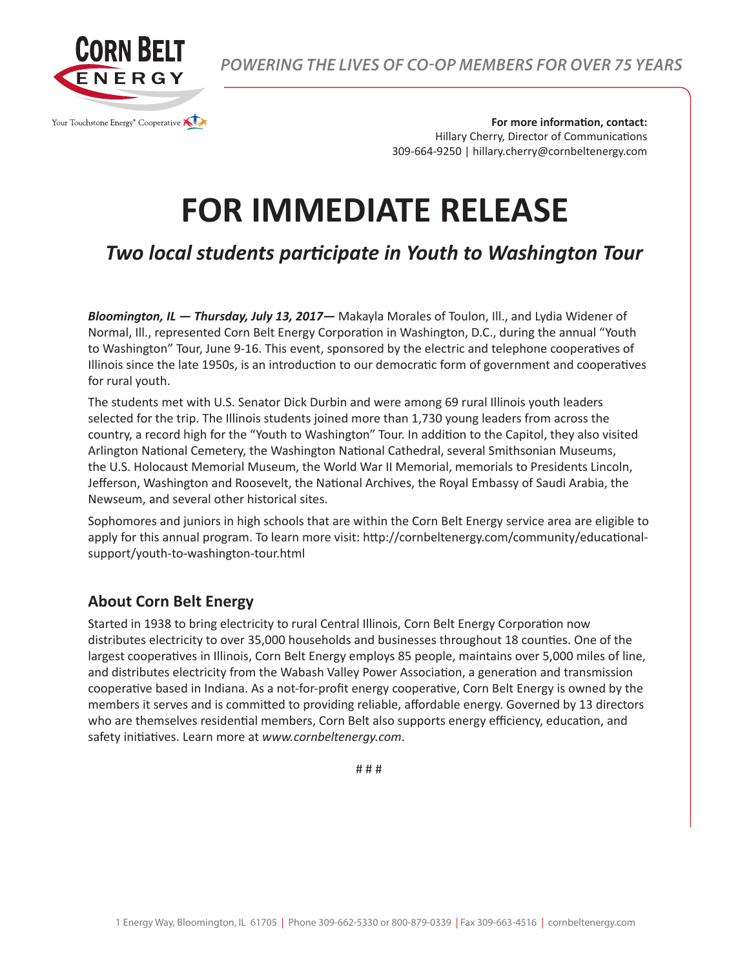

*POWERING THE LIVES OF CO-OP MEMBERS FOR OVER 75 YEARS*

**For more information, contact:** Hillary Cherry, Director of Communications 309-664-9250 | hillary.cherry@cornbeltenergy.com

## **FOR IMMEDIATE RELEASE**

*Two local students participate in Youth to Washington Tour*

*Bloomington, IL — Thursday, July 13, 2017—* Makayla Morales of Toulon, Ill., and Lydia Widener of Normal, Ill., represented Corn Belt Energy Corporation in Washington, D.C., during the annual "Youth to Washington" Tour, June 9-16. This event, sponsored by the electric and telephone cooperatives of Illinois since the late 1950s, is an introduction to our democratic form of government and cooperatives for rural youth.

The students met with U.S. Senator Dick Durbin and were among 69 rural Illinois youth leaders selected for the trip. The Illinois students joined more than 1,730 young leaders from across the country, a record high for the "Youth to Washington" Tour. In addition to the Capitol, they also visited Arlington National Cemetery, the Washington National Cathedral, several Smithsonian Museums, the U.S. Holocaust Memorial Museum, the World War II Memorial, memorials to Presidents Lincoln, Jefferson, Washington and Roosevelt, the National Archives, the Royal Embassy of Saudi Arabia, the Newseum, and several other historical sites.

Sophomores and juniors in high schools that are within the Corn Belt Energy service area are eligible to apply for this annual program. To learn more visit: http://cornbeltenergy.com/community/educationalsupport/youth-to-washington-tour.html

## **About Corn Belt Energy**

Started in 1938 to bring electricity to rural Central Illinois, Corn Belt Energy Corporation now distributes electricity to over 35,000 households and businesses throughout 18 counties. One of the largest cooperatives in Illinois, Corn Belt Energy employs 85 people, maintains over 5,000 miles of line, and distributes electricity from the Wabash Valley Power Association, a generation and transmission cooperative based in Indiana. As a not-for-profit energy cooperative, Corn Belt Energy is owned by the members it serves and is committed to providing reliable, affordable energy. Governed by 13 directors who are themselves residential members, Corn Belt also supports energy efficiency, education, and safety initiatives. Learn more at *www.cornbeltenergy.com*.

# # #